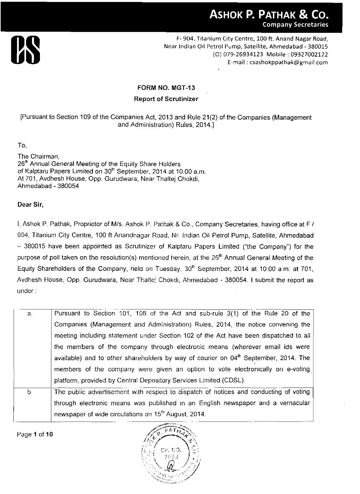

### **FORM NO. MGT-13**

**Report of Scrutinizer** 

[Pursuant to Section 109 of the Companies Act, 2013 and Rule 21(2) of the Companies (Management and Administration) Rules, 2014.]

To.

The Chairman, 26<sup>th</sup> Annual General Meeting of the Equity Share Holders of Kalptaru Papers Limited on 30<sup>th</sup> September, 2014 at 10.00 a.m. At 701, Avdhesh House, Opp. Gurudwara, Near Thaltej Chokdi, Ahmedabad - 380054

**Dear Sir,** 

I, **Ashok** P. Pathak, Proprietor of Mls. Ashok P. Pathak & Co., Company Secretaries, having office at F I 904, Titanium City Centre, 100 ft Anandnagar Road, Nr. Indian Oil Petrol Pump, Satellite, Ahmedabad - 380015 have been appointed as Scrutinizer of Kalptaru Papers Limited ("the Company") for the purpose of poll taken on the resolution(s) mentioned herein, at the 26<sup>th</sup> Annual General Meeting of the Equity Shareholders of the Company, held on Tuesday, 30<sup>th</sup> September, 2014 at 10.00 a.m. at 701, Avdhesh House, Opp. Gurudwara, Near Thaltej Chokdi, Ahmedabad - 380054. I submit the report as under : Equity Shareholders of the Company, held on Tuesday, 30<sup>th</sup> September, 2014 at 10.00 a.m. at 701, and the Rule Sopp. Gurudwara, Near Thaltej Chokdi, Ahmedabad - 380054. I submit the report as under:<br>a. Pursuant to Section

| a. | Pursuant to Section 101, 108 of the Act and sub-rule 3(1) of the Rule 20 of the                 |
|----|-------------------------------------------------------------------------------------------------|
|    | Companies (Management and Administration) Rules, 2014, the notice convening the                 |
|    | meeting including statement under Section 102 of the Act have been dispatched to all            |
|    | the members of the company through electronic means (wherever email ids were                    |
|    | available) and to other shareholders by way of courier on 04 <sup>th</sup> September, 2014. The |
|    | members of the company were given an option to vote electronically on e-voting                  |
|    | platform, provided by Central Depository Services Limited (CDSL).                               |
| b. | The public advertisement with respect to dispatch of notices and conducting of voting           |
|    | through electronic means was published in an English newspaper and a vernacular                 |
|    | newspaper of wide circulations on 15 <sup>th</sup> August, 2014.                                |
|    |                                                                                                 |

**Page** I of **10** 

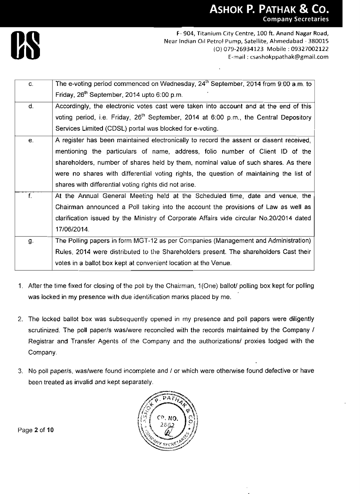

| C.          | The e-voting period commenced on Wednesday, $24th$ September, 2014 from 9:00 a.m. to              |  |  |  |
|-------------|---------------------------------------------------------------------------------------------------|--|--|--|
|             | Friday, 26 <sup>th</sup> September, 2014 upto 6:00 p.m.                                           |  |  |  |
| d.          | Accordingly, the electronic votes cast were taken into account and at the end of this             |  |  |  |
|             | voting period, i.e. Friday, 26 <sup>th</sup> September, 2014 at 6:00 p.m., the Central Depository |  |  |  |
|             | Services Limited (CDSL) portal was blocked for e-voting.                                          |  |  |  |
| е.          | A register has been maintained electronically to record the assent or dissent received,           |  |  |  |
|             | mentioning the particulars of name, address, folio number of Client ID of the                     |  |  |  |
|             | shareholders, number of shares held by them, nominal value of such shares. As there               |  |  |  |
|             | were no shares with differential voting rights, the question of maintaining the list of           |  |  |  |
|             | shares with differential voting rights did not arise.                                             |  |  |  |
| $f_{\perp}$ | At the Annual General Meeting held at the Scheduled time, date and venue, the                     |  |  |  |
|             | Chairman announced a Poll taking into the account the provisions of Law as well as                |  |  |  |
|             | clarification issued by the Ministry of Corporate Affairs vide circular No.20/2014 dated          |  |  |  |
|             | 17/06/2014.                                                                                       |  |  |  |
| g.          | The Polling papers in form MGT-12 as per Companies (Management and Administration)                |  |  |  |
|             | Rules, 2014 were distributed to the Shareholders present. The shareholders Cast their             |  |  |  |
|             | votes in a ballot box kept at convenient location at the Venue.                                   |  |  |  |

- 1. After the time fixed for closing of the poll by the Chairman, 1 (One) ballotl polling box kept for polling was locked in my presence with due identification marks placed by me.
- 2. The locked ballot box was subsequently opened in my presence and poll papers were diligently scrutinized. The poll paper/s was/were reconciled with the records maintained by the Company / Registrar and Transfer Agents of the Company and the authorizations/ proxies lodged with the Company.
- 3. No poll paperls, waslwere found incomplete and I or which were otherwise found defective or have been treated as invalid and kept separately.



Page **2** of **10**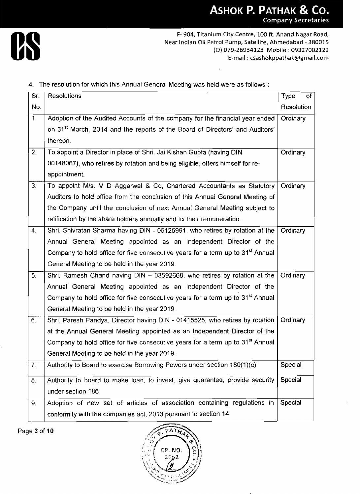

|     | Near Indian Oil Petrol Pump, Satellite, Ahmedabad - 380015<br>(O) 079-26934123 Mobile: 09327002122 | F-904, Titanium City Centre, 100 ft. Anand Nagar Road, |
|-----|----------------------------------------------------------------------------------------------------|--------------------------------------------------------|
|     | E-mail: csashokppathak@gmail.com                                                                   |                                                        |
|     |                                                                                                    |                                                        |
| Sr. | 4. The resolution for which this Annual General Meeting was held were as follows:<br>Resolutions   | Type<br>0f.                                            |
| No. |                                                                                                    | Resolution                                             |
| 1.  | Adoption of the Audited Accounts of the company for the financial year ended                       | Ordinary                                               |
|     | on 31 <sup>st</sup> March, 2014 and the reports of the Board of Directors' and Auditors'           |                                                        |
|     | thereon.                                                                                           |                                                        |
| 2.  | To appoint a Director in place of Shri. Jai Kishan Gupta (having DIN                               | Ordinary                                               |
|     | 00148067), who retires by rotation and being eligible, offers himself for re-                      |                                                        |
|     | appointment.                                                                                       |                                                        |
| 3.  | To appoint M/s. V D Aggarwal & Co, Chartered Accountants as Statutory                              | Ordinary                                               |
|     | Auditors to hold office from the conclusion of this Annual General Meeting of                      |                                                        |
|     | the Company until the conclusion of next Annual General Meeting subject to                         |                                                        |
|     | ratification by the share holders annually and fix their remuneration.                             |                                                        |
| 4.  | Shri. Shivratan Sharma having DIN - 05125991, who retires by rotation at the                       | Ordinary                                               |
|     | Annual General Meeting appointed as an Independent Director of the                                 |                                                        |
|     | Company to hold office for five consecutive years for a term up to 31 <sup>st</sup> Annual         |                                                        |
|     | General Meeting to be held in the year 2019.                                                       |                                                        |
| 5.  | Shri. Ramesh Chand having DIN - 03592668, who retires by rotation at the                           | Ordinary                                               |
|     | Annual General Meeting appointed as an Independent Director of the                                 |                                                        |
|     | Company to hold office for five consecutive years for a term up to 31 <sup>st</sup> Annual         |                                                        |
|     | General Meeting to be held in the year 2019.                                                       |                                                        |
| 6.  | Shri. Paresh Pandya, Director having DIN - 01415525, who retires by rotation                       | Ordinary                                               |
|     | at the Annual General Meeting appointed as an Independent Director of the                          |                                                        |
|     | Company to hold office for five consecutive years for a term up to 31 <sup>st</sup> Annual         |                                                        |
| 7.  | General Meeting to be held in the year 2019.                                                       | Special                                                |
|     | Authority to Board to exercise Borrowing Powers under section 180(1)(c)                            |                                                        |
| 8.  | Authority to board to make loan, to invest, give guarantee, provide security                       | Special                                                |
|     | under section 186                                                                                  |                                                        |
| 9.  | Adoption of new set of articles of association containing regulations in                           | Special                                                |
|     | conformity with the companies act, 2013 pursuant to section 14                                     |                                                        |

Page 3 of **10** 

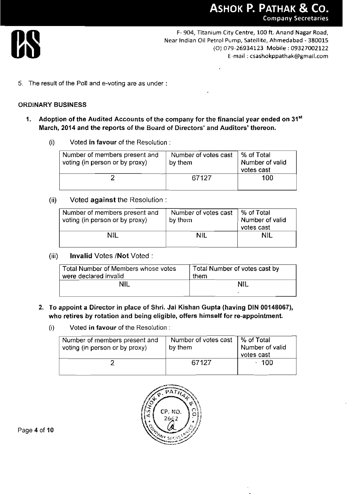

5. The result of the Poll and e-voting are as under :

#### **ORDINARY BUSINESS**

- I. **Adoption of the Audited Accounts of the company for the financial year ended on 31"' March, 2014 and the reports of the Board of Directors' and Auditors' thereon.** 
	- (i) Voted **in favour** of the Resolution :

| Number of members present and<br>voting (in person or by proxy) | Number of votes cast<br>by them | % of Total<br>Number of valid<br>votes cast |
|-----------------------------------------------------------------|---------------------------------|---------------------------------------------|
|                                                                 | 67127                           | 100                                         |

(ii) Voted **against** the Resolution :

| Number of members present and<br>voting (in person or by proxy) | Number of votes cast<br>by them | % of Total<br>Number of valid<br>votes cast |
|-----------------------------------------------------------------|---------------------------------|---------------------------------------------|
| NIL                                                             | NIL.                            | NIL                                         |

(iii) **Invalid** Votes **/Not** Voted :

| Total Number of Members whose votes<br>were declared invalid | Total Number of votes cast by<br>them |
|--------------------------------------------------------------|---------------------------------------|
| ЧII                                                          | <b>NIL</b>                            |
|                                                              |                                       |

- **2. To appoint a Director in place of Shri. Jai Kishan Gupta (having DIN 00148067), who retires by rotation and being eligible, offers himself for re-appointment.** 
	- (i) **Voted in favour** of the Resolution :

| Number of members present and<br>voting (in person or by proxy) | Number of votes cast<br>by them | │% of Total<br>Number of valid<br>votes cast |
|-----------------------------------------------------------------|---------------------------------|----------------------------------------------|
|                                                                 | 67127                           | -100                                         |

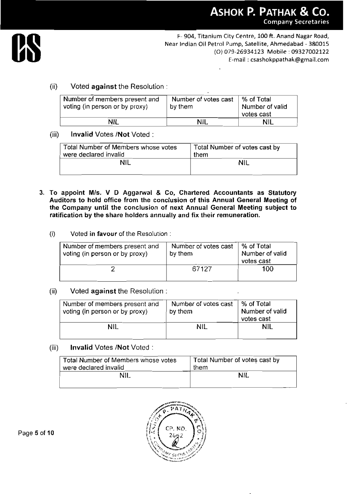

F- 904, Titanium City Centre, 100 ft. **Anand** Nagar Road, Near Indian Oil Petrol Pump, Satellite, **Ahmedabad** - 380015 (0) 079-26934123 Mobile : 09327002122 E-mail : **csashokppathak@gmail.com**  Tranium City Centre, 100 ft. Anand Nagar Road,<br>
10 Oil Petrol Pump, Satellite, Ahmedabad - 380015<br>
(O) 079-26934123 Mobile : 09327002122<br>
E-mail : csashokppathak@gmail.com<br>
10 Of votes cast<br>
10 Of Votes Cast<br>
10 Of Votes C

# (ii) Voted **against** the Resolution :

|                                                                  |         |                               | <b>ASHOK P. PATHAK</b><br>Company So                                                                                                                         |
|------------------------------------------------------------------|---------|-------------------------------|--------------------------------------------------------------------------------------------------------------------------------------------------------------|
| Voted <b>against</b> the Resolution :                            |         |                               | F-904, Titanium City Centre, 100 ft. Anand N<br>Near Indian Oil Petrol Pump, Satellite, Ahmedaba<br>(O) 079-26934123 Mobile : 09)<br>E-mail: csashokppathak@ |
| Number of members present and<br>voting (in person or by proxy)  | by them | Number of votes cast          | % of Total<br>Number of valid<br>votes cast                                                                                                                  |
|                                                                  |         |                               |                                                                                                                                                              |
| NIL                                                              |         | <b>NIL</b>                    | NIL                                                                                                                                                          |
| Invalid Votes /Not Voted:<br>Total Number of Members whose votes |         | Total Number of votes cast by |                                                                                                                                                              |

### (iii) **Invalid** Votes **/Not** Voted :

| Total Number of Members whose votes | Total Number of votes cast by |
|-------------------------------------|-------------------------------|
| were declared invalid               | them                          |
| NII                                 | ΝIΙ                           |

- **3. To appoint MIS. V D Aggawal** & **Co, Chartered Accountants as Statutory**  Auditors to hold office from the conclusion of this Annual General Meeting of **the Company until the conclusion of next Annual General Meeting subject to ratification by the share holders annually and fix their remuneration.** 
	- (i) Voted **in favour** of the Resolution :

| Number of members present and<br>voting (in person or by proxy) | Number of votes cast<br>by them | % of Total<br>Number of valid<br>votes cast |
|-----------------------------------------------------------------|---------------------------------|---------------------------------------------|
|                                                                 | 67127                           | 100                                         |

(ii) Voted **against** the Resolution :

| Number of members present and<br>voting (in person or by proxy) | by them | Number of votes cast | % of Total<br>Number of valid<br>votes cast |
|-----------------------------------------------------------------|---------|----------------------|---------------------------------------------|
| 2                                                               |         | 67127                | 100.                                        |
| Voted against the Resolution:                                   |         |                      |                                             |
| Number of members present and<br>voting (in person or by proxy) | by them | Number of votes cast | % of Total<br>Number of valid<br>votes cast |
|                                                                 |         | <b>NIL</b>           | <b>NIL</b>                                  |

(iii) **Invalid** Vofes **/Not** Voted

| Total Number of Members whose votes | Total Number of votes cast by |
|-------------------------------------|-------------------------------|
| were declared invalid               | them                          |
| NIL                                 | NIL.                          |
|                                     |                               |

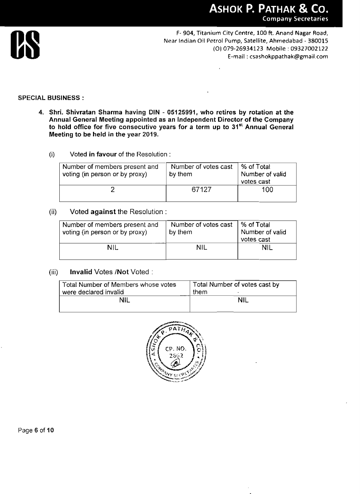

#### **SPECIAL BUSINESS** :

- **4. Shri. Shivratan Sharma having DIN 05125991, who retires by rotation at the Annual General Meeting appointed as an Independent Director of the Company to hold office for five consecutive years for a term up to 31" Annual General Meeting to be held in the year 2019.** 
	- (i) **Voted in favour** of the Resolution :

| Number of members present and<br>voting (in person or by proxy) | Number of votes cast<br>by them | ∣ % of Total<br>Number of valid<br>votes cast |
|-----------------------------------------------------------------|---------------------------------|-----------------------------------------------|
|                                                                 | 67127                           | 100                                           |

#### (ii) **Voted against** the Resolution :

| Number of members present and<br>voting (in person or by proxy) | Number of votes cast<br>by them | l % of Total<br>Number of valid<br>votes cast |
|-----------------------------------------------------------------|---------------------------------|-----------------------------------------------|
| NIL.                                                            | NIL                             | NII                                           |

### (iii) **Invalid** Votes **/Not** Voted :

| Total Number of Members whose votes |      | Total Number of votes cast by |
|-------------------------------------|------|-------------------------------|
| were declared invalid               | them |                               |
| Nil                                 |      | <b>NIL</b>                    |
|                                     |      |                               |

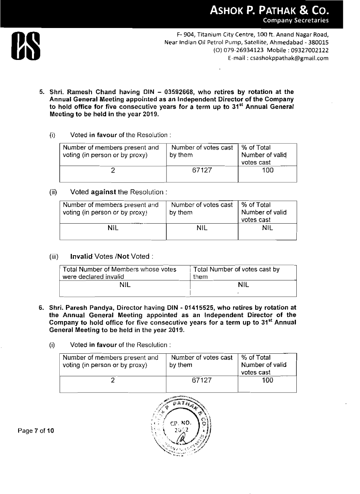

- **5. Shri. Ramesh Chand having DIN 03592668, who retires by rotation at the Annual General Meeting appointed as an Independent Director of the Company**  to hold office for five consecutive years for a term up to 31<sup>st</sup> Annual General **Meeting to be held in the year 2019.** 
	- (i) **Voted in favour of** the **Resolution**

| Number of members present and<br>voting (in person or by proxy) | Number of votes cast<br>by them | Ⅰ % of Total<br>Number of valid<br>votes cast |
|-----------------------------------------------------------------|---------------------------------|-----------------------------------------------|
|                                                                 | 67127                           | 100                                           |

(ii) Voted **against** the Resolution :

| Number of votes cast<br>by them | ∣% of Total<br>Number of valid<br>votes cast |
|---------------------------------|----------------------------------------------|
| ΝIΙ                             | NIL                                          |
|                                 |                                              |

(iii) **Invalid** Votes **/Not** Voted :

| <b>NIL</b>                                                   | <b>NIL</b> | <b>NIL</b>                    |
|--------------------------------------------------------------|------------|-------------------------------|
| <b>Invalid Votes /Not Voted:</b>                             |            |                               |
| Total Number of Members whose votes<br>were declared invalid | them       | Total Number of votes cast by |
|                                                              |            |                               |

- **6. Shri. Paresh Pandya, Director having DIN 01415525, who retires by rotation at the Annual General Meeting appointed as an Independent Director of the**  Company to hold office for five consecutive years for a term up to 31<sup>st</sup> Annual **General Meeting to be held in the year 2019.** 
	- (i) **Voted in favour** of the Resolution :

| Number of members present and<br>voting (in person or by proxy) | Number of votes cast<br>by them | % of Total<br>Number of valid<br>votes cast |
|-----------------------------------------------------------------|---------------------------------|---------------------------------------------|
|                                                                 | 67127                           | 100                                         |



**Page 7** of **10**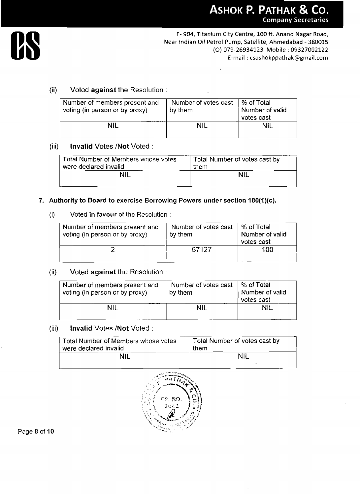

# (ii) Voted **against** the Resolution :

| Number of members present and<br>voting (in person or by proxy) | Number of votes cast<br>by them | % of Total<br>Number of valid<br>votes cast |
|-----------------------------------------------------------------|---------------------------------|---------------------------------------------|
| NIL                                                             | <b>NIL</b>                      | <b>NIL</b>                                  |

# (iii) **Invalid** Votes **/Not** Voted

| Total Number of Members whose votes | Total Number of votes cast by |
|-------------------------------------|-------------------------------|
| were declared invalid               | them                          |
| NH                                  | <b>NIL</b>                    |
|                                     |                               |

#### **7. Authority to Board to exercise Borrowing Powers under section 180(1)(c).**

#### (i) Voted in favour of the Resolution :

| Number of members present and<br>voting (in person or by proxy) | Number of votes cast<br>by them | % of Total<br>Number of valid<br>votes cast |
|-----------------------------------------------------------------|---------------------------------|---------------------------------------------|
|                                                                 | 67127                           | 100                                         |

### (ii) Voted **against** the Resolution

| Number of members present and<br>voting (in person or by proxy) | Number of votes cast<br>by them | % of Total<br>Number of valid<br>votes cast |
|-----------------------------------------------------------------|---------------------------------|---------------------------------------------|
| NIL                                                             | NIL                             | <b>NIL</b>                                  |

### (iii) **Invalid Votes /Not** Voted :

| Total Number of Members whose votes | Total Number of votes cast by |
|-------------------------------------|-------------------------------|
| were declared invalid               | them                          |
| nil                                 | NII                           |



Page **8** of **10**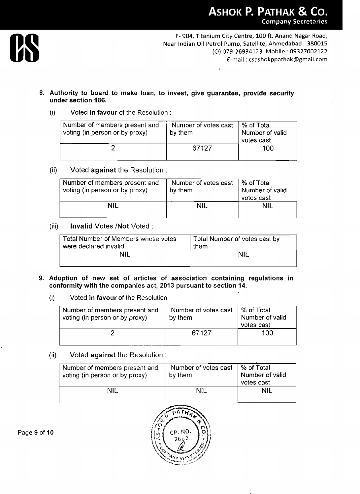

ä,

**8. Authority to board to make foan, to invest, give guarantee, provide security under section 186.** 

#### (i) Voted in **favour** of the Resolution :

| Number of members present and<br>voting (in person or by proxy) | Number of votes cast<br>by them | ⊢% of Total<br>Number of valid<br>votes cast |
|-----------------------------------------------------------------|---------------------------------|----------------------------------------------|
|                                                                 | 67127                           | 100                                          |

#### (ii) Voted against the Resolution:

| Number of members present and<br>voting (in person or by proxy) | Number of votes cast<br>by them | ∣% of Total<br>Number of valid<br>votes cast |
|-----------------------------------------------------------------|---------------------------------|----------------------------------------------|
| NIL                                                             | <b>NIL</b>                      | NIL                                          |

## (iii) **Invalid** Votes **/Not** Voted :

| Total Number of Members whose votes | Total Number of votes cast by |
|-------------------------------------|-------------------------------|
| were declared invalid               | them                          |
| NIL                                 | NII                           |
|                                     |                               |

- **9. Adoption of new set of articles of association containing regulations in**  conformity with the companies act, 2013 pursuant to section 14.
	- (i) Voted in **favour** of the Resolution :

| Number of members present and<br>voting (in person or by proxy) | Number of votes cast<br>by them | -% of Total<br>Number of valid<br>votes cast |
|-----------------------------------------------------------------|---------------------------------|----------------------------------------------|
|                                                                 | 67127                           | 100.                                         |

#### (ii) Voted **against** the Resolution

| Number of members present and<br>voting (in person or by proxy) | Number of votes cast<br>by them | ∣ % of Total<br>Number of valid<br>votes cast |
|-----------------------------------------------------------------|---------------------------------|-----------------------------------------------|
| NIL                                                             | NIL                             | <b>NIL</b>                                    |



Page **9** of **10**